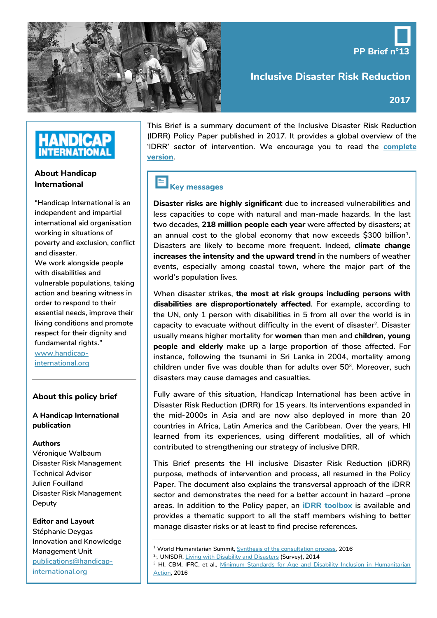

**Inclusive Disaster Risk Reduction**

**PP Brief n°13**

## **HANDICAP INTERNATIONAL**

#### **About Handicap International**

**"Handicap International is an independent and impartial international aid organisation working in situations of poverty and exclusion, conflict and disaster. We work alongside people with disabilities and vulnerable populations, taking action and bearing witness in order to respond to their essential needs, improve their living conditions and promote** 

**respect for their dignity and** 

**fundamental rights." [www.handicap](http://www.handicap-international.org/)[international.org](http://www.handicap-international.org/)**

#### **About this policy brief**

**A Handicap International publication**

#### **Authors**

**Véronique Walbaum Disaster Risk Management Technical Advisor Julien Fouilland Disaster Risk Management Deputy**

#### **Editor and Layout**

**Stéphanie Deygas Innovation and Knowledge Management Unit [publications@handicap](mailto:publications@handicap-international.org)[international.org](mailto:publications@handicap-international.org)**

**This Brief is a summary document of the Inclusive Disaster Risk Reduction (IDRR) Policy Paper published in 2017. It provides a global overview of the 'IDRR' sector of intervention. We encourage you to read the [complete](http://www.hiproweb.org/uploads/tx_hidrtdocs/PP13_InclusiveDRR.pdf)  [version](http://www.hiproweb.org/uploads/tx_hidrtdocs/PP13_InclusiveDRR.pdf).**

### **Key messages**

**Disaster risks are highly significant due to increased vulnerabilities and less capacities to cope with natural and man-made hazards. In the last two decades, 218 million people each year were affected by disasters; at an annual cost to the global economy that now exceeds \$300 billion1. Disasters are likely to become more frequent. Indeed, climate change increases the intensity and the upward trend in the numbers of weather events, especially among coastal town, where the major part of the world's population lives.**

**When disaster strikes, the most at risk groups including persons with disabilities are disproportionately affected. For example, according to the UN, only 1 person with disabilities in 5 from all over the world is in**  capacity to evacuate without difficulty in the event of disaster<sup>2</sup>. Disaster **usually means higher mortality for women than men and children, young people and elderly make up a large proportion of those affected. For instance, following the tsunami in Sri Lanka in 2004, mortality among children under five was double than for adults over 503. Moreover, such disasters may cause damages and casualties.**

**Fully aware of this situation, Handicap International has been active in Disaster Risk Reduction (DRR) for 15 years. Its interventions expanded in the mid-2000s in Asia and are now also deployed in more than 20 countries in Africa, Latin America and the Caribbean. Over the years, HI learned from its experiences, using different modalities, all of which contributed to strengthening our strategy of inclusive DRR.**

**This Brief presents the HI inclusive Disaster Risk Reduction (iDRR) purpose, methods of intervention and process, all resumed in the Policy Paper. The document also explains the transversal approach of the iDRR sector and demonstrates the need for a better account in hazard –prone areas. In addition to the Policy paper, an [iDRR toolbox](https://hinside.handicap-international.org/intranet/jcms/prod_2068650/fr/domaine-insertion-espace-de-communication?portlet=prod_2095221) is available and provides a thematic support to all the staff members wishing to better manage disaster risks or at least to find precise references.**

- **<sup>1</sup> World Humanitarian Summit[, Synthesis of the consultation process,](http://www.alnap.org/resource/21293) 2016 2., UNISDR, Living with Disability and Disasters (Survey), 2014**
- 

**<sup>3</sup> HI, CBM, IFRC, et al., [Minimum Standards for Age and Disability Inclusion in Humanitarian](http://www.hiproweb.org/uploads/tx_hidrtdocs/ADCAP-report-LowRes-finalMar16.pdf)  [Action,](http://www.hiproweb.org/uploads/tx_hidrtdocs/ADCAP-report-LowRes-finalMar16.pdf) 2016**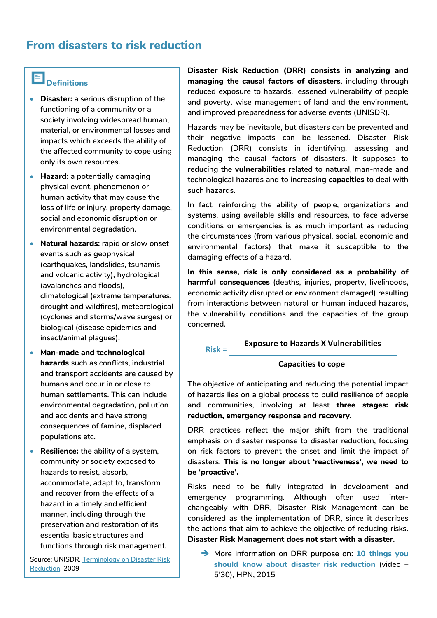## **From disasters to risk reduction**

# **Definitions**

- **Disaster: a serious disruption of the functioning of a community or a society involving widespread human, material, or environmental losses and impacts which exceeds the ability of the affected community to cope using only its own resources.**
- **Hazard: a potentially damaging physical event, phenomenon or human activity that may cause the loss of life or injury, property damage, social and economic disruption or environmental degradation.**
- **Natural hazards: rapid or slow onset events such as geophysical (earthquakes, landslides, tsunamis and volcanic activity), hydrological (avalanches and floods), climatological (extreme temperatures, drought and wildfires), meteorological (cyclones and storms/wave surges) or biological (disease epidemics and insect/animal plagues).**
- **Man-made and technological hazards such as conflicts, industrial and transport accidents are caused by humans and occur in or close to human settlements. This can include environmental degradation, pollution and accidents and have strong consequences of famine, displaced populations etc.**
- **Resilience: the ability of a system, community or society exposed to hazards to resist, absorb, accommodate, adapt to, transform and recover from the effects of a hazard in a timely and efficient manner, including through the preservation and restoration of its essential basic structures and functions through risk management.**

**Source: UNISDR[. Terminology on Disaster Risk](https://www.unisdr.org/we/inform/terminology)  [Reduction.](https://www.unisdr.org/we/inform/terminology) 2009**

**Disaster Risk Reduction (DRR) consists in analyzing and managing the causal factors of disasters, including through reduced exposure to hazards, lessened vulnerability of people and poverty, wise management of land and the environment, and improved preparedness for adverse events (UNISDR).** 

**Hazards may be inevitable, but disasters can be prevented and their negative impacts can be lessened. Disaster Risk Reduction (DRR) consists in identifying, assessing and managing the causal factors of disasters. It supposes to reducing the vulnerabilities related to natural, man-made and technological hazards and to increasing capacities to deal with such hazards.**

**In fact, reinforcing the ability of people, organizations and systems, using available skills and resources, to face adverse conditions or emergencies is as much important as reducing the circumstances (from various physical, social, economic and environmental factors) that make it susceptible to the damaging effects of a hazard.**

**In this sense, risk is only considered as a probability of harmful consequences (deaths, injuries, property, livelihoods, economic activity disrupted or environment damaged) resulting from interactions between natural or human induced hazards, the vulnerability conditions and the capacities of the group concerned.** 

#### **Exposure to Hazards X Vulnerabilities Risk =**

#### **Capacities to cope**

**The objective of anticipating and reducing the potential impact of hazards lies on a global process to build resilience of people and communities, involving at least three stages: risk reduction, emergency response and recovery.**

**DRR practices reflect the major shift from the traditional emphasis on disaster response to disaster reduction, focusing on risk factors to prevent the onset and limit the impact of disasters. This is no longer about 'reactiveness', we need to be 'proactive'.**

**Risks need to be fully integrated in development and emergency programming. Although often used interchangeably with DRR, Disaster Risk Management can be considered as the implementation of DRR, since it describes the actions that aim to achieve the objective of reducing risks. Disaster Risk Management does not start with a disaster.**

 **More information on DRR purpose on: [10 things you](https://www.youtube.com/watch?v=y16aMLeh91Q)  [should know about disaster risk reduction](https://www.youtube.com/watch?v=y16aMLeh91Q) (video – 5'30), HPN, 2015**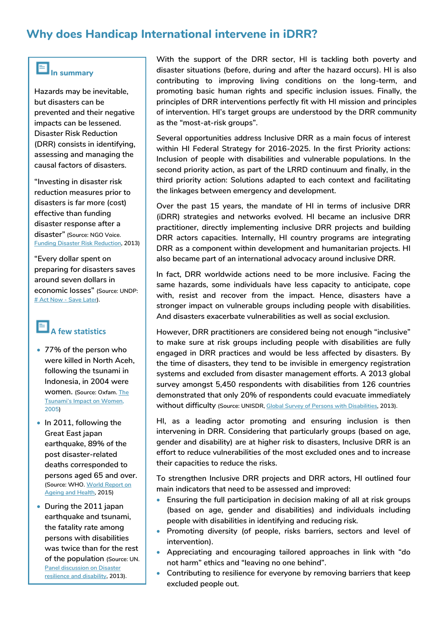## **Why does Handicap International intervene in iDRR?**

# **In summary**

**Hazards may be inevitable, but disasters can be prevented and their negative impacts can be lessened. Disaster Risk Reduction (DRR) consists in identifying, assessing and managing the causal factors of disasters.**

**"Investing in disaster risk reduction measures prior to disasters is far more (cost) effective than funding disaster response after a disaster" (Source: NGO Voice. [Funding Disaster Risk Reduction,](http://www.preventionweb.net/files/33631_33631voicedrrn5finallowresolution.pdf) 2013)**

**"Every dollar spent on preparing for disasters saves around seven dollars in economic losses" (Source: UNDP: # Act Now - Save Later).**

## **A few statistics**

- **77% of the person who were killed in North Aceh, following the tsunami in Indonesia, in 2004 were women. (Source: Oxfam. [The](http://policy-practice.oxfam.org.uk/publications/the-tsunamis-impact-on-women-115038)  [Tsunami's Impact on Women,](http://policy-practice.oxfam.org.uk/publications/the-tsunamis-impact-on-women-115038)  2005)**
- **In 2011, following the Great East japan earthquake, 89% of the post disaster-related deaths corresponded to persons aged 65 and over. (Source: WHO. [World Report on](http://apps.who.int/iris/bitstream/10665/186463/1/9789240694811_eng.pdf)  [Ageing and Health,](http://apps.who.int/iris/bitstream/10665/186463/1/9789240694811_eng.pdf) 2015)**
- **During the 2011 japan earthquake and tsunami, the fatality rate among persons with disabilities was twice than for the rest of the population (Source: UN. [Panel discussion on Disaster](http://www.un.org/disabilities/documents/reports/iddr2013_%20panelreport.pdf)  [resilience and disability,](http://www.un.org/disabilities/documents/reports/iddr2013_%20panelreport.pdf) 2013).**

**With the support of the DRR sector, HI is tackling both poverty and disaster situations (before, during and after the hazard occurs). HI is also contributing to improving living conditions on the long-term, and promoting basic human rights and specific inclusion issues. Finally, the principles of DRR interventions perfectly fit with HI mission and principles of intervention. HI's target groups are understood by the DRR community as the "most-at-risk groups".**

**Several opportunities address Inclusive DRR as a main focus of interest within HI Federal Strategy for 2016-2025. In the first Priority actions: Inclusion of people with disabilities and vulnerable populations. In the second priority action, as part of the LRRD continuum and finally, in the third priority action: Solutions adapted to each context and facilitating the linkages between emergency and development.** 

**Over the past 15 years, the mandate of HI in terms of inclusive DRR (iDRR) strategies and networks evolved. HI became an inclusive DRR practitioner, directly implementing inclusive DRR projects and building DRR actors capacities. Internally, HI country programs are integrating DRR as a component within development and humanitarian projects. HI also became part of an international advocacy around inclusive DRR.** 

**In fact, DRR worldwide actions need to be more inclusive. Facing the same hazards, some individuals have less capacity to anticipate, cope with, resist and recover from the impact. Hence, disasters have a stronger impact on vulnerable groups including people with disabilities. And disasters exacerbate vulnerabilities as well as social exclusion.**

**However, DRR practitioners are considered being not enough "inclusive" to make sure at risk groups including people with disabilities are fully engaged in DRR practices and would be less affected by disasters. By the time of disasters, they tend to be invisible in emergency registration systems and excluded from disaster management efforts. A 2013 global survey amongst 5,450 respondents with disabilities from 126 countries demonstrated that only 20% of respondents could evacuate immediately without difficulty (Source: UNISDR[, Global Survey of Persons with Disabilities,](http://www.unisdr.org/archive/35032) 2013).**

**HI, as a leading actor promoting and ensuring inclusion is then intervening in DRR. Considering that particularly groups (based on age, gender and disability) are at higher risk to disasters, Inclusive DRR is an effort to reduce vulnerabilities of the most excluded ones and to increase their capacities to reduce the risks.** 

**To strengthen Inclusive DRR projects and DRR actors, HI outlined four main indicators that need to be assessed and improved:**

- **Ensuring the full participation in decision making of all at risk groups (based on age, gender and disabilities) and individuals including people with disabilities in identifying and reducing risk.**
- **Promoting diversity (of people, risks barriers, sectors and level of intervention).**
- **Appreciating and encouraging tailored approaches in link with "do not harm" ethics and "leaving no one behind".**
- **Contributing to resilience for everyone by removing barriers that keep excluded people out.**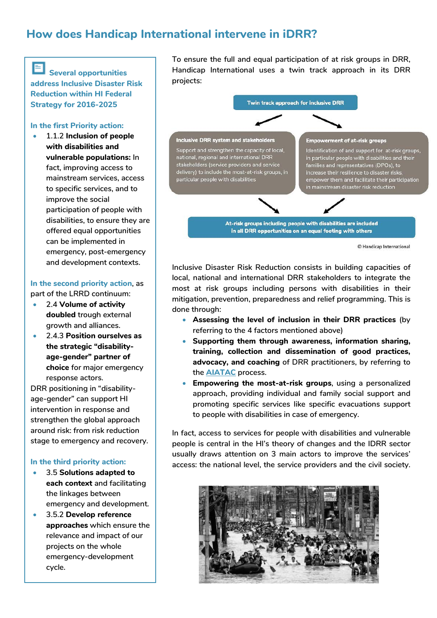## **How does Handicap International intervene in iDRR?**

**Several opportunities address Inclusive Disaster Risk Reduction within HI Federal Strategy for 2016-2025**

#### **In the first Priority action:**

• **1.1.2 Inclusion of people with disabilities and vulnerable populations: In fact, improving access to mainstream services, access to specific services, and to improve the social participation of people with disabilities, to ensure they are offered equal opportunities can be implemented in emergency, post-emergency and development contexts.**

#### **In the second priority action, as part of the LRRD continuum:**

- **2.4 Volume of activity doubled trough external growth and alliances.**
- **2.4.3 Position ourselves as the strategic "disabilityage-gender" partner of choice for major emergency response actors.**

**DRR positioning in "disabilityage-gender" can support HI intervention in response and strengthen the global approach around risk: from risk reduction stage to emergency and recovery.** 

#### **In the third priority action:**

- **3.5 Solutions adapted to each context and facilitating the linkages between emergency and development.**
- **3.5.2 Develop reference approaches which ensure the relevance and impact of our projects on the whole emergency-development cycle.**

**To ensure the full and equal participation of at risk groups in DRR, Handicap International uses a twin track approach in its DRR projects:**



<sup>©</sup> Handicap International

**Inclusive Disaster Risk Reduction consists in building capacities of local, national and international DRR stakeholders to integrate the most at risk groups including persons with disabilities in their mitigation, prevention, preparedness and relief programming. This is done through:**

- **Assessing the level of inclusion in their DRR practices (by referring to the 4 factors mentioned above)**
- **Supporting them through awareness, information sharing, training, collection and dissemination of good practices, advocacy, and coaching of DRR practitioners, by referring to the [AIATAC](https://hinside.handicap-international.org/intranet/jcms/prod_2021755/fr/brief-aiatac-eng) process.**
- **Empowering the most-at-risk groups, using a personalized approach, providing individual and family social support and promoting specific services like specific evacuations support to people with disabilities in case of emergency.**

**In fact, access to services for people with disabilities and vulnerable people is central in the HI's theory of changes and the IDRR sector usually draws attention on 3 main actors to improve the services' access: the national level, the service providers and the civil society.**

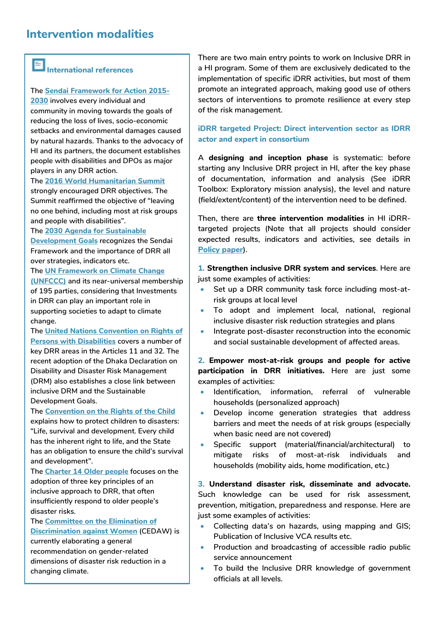## **Intervention modalities**

# **International references**

#### **The [Sendai Framework for Action 2015-](http://www.preventionweb.net/files/43291_sendaiframeworkfordrren.pdf)**

**[2030](http://www.preventionweb.net/files/43291_sendaiframeworkfordrren.pdf) involves every individual and community in moving towards the goals of reducing the loss of lives, socio-economic setbacks and environmental damages caused by natural hazards. Thanks to the advocacy of HI and its partners, the document establishes people with disabilities and DPOs as major players in any DRR action.** 

#### **The [2016 World Humanitarian Summit](https://www.worldhumanitariansummit.org/key-documents%23major-reports-linking)**

**strongly encouraged DRR objectives. The Summit reaffirmed the objective of "leaving no one behind, including most at risk groups and people with disabilities".**

#### **The [2030 Agenda for Sustainable](https://sustainabledevelopment.un.org/post2015/transformingourworld)**

**[Development Goals](https://sustainabledevelopment.un.org/post2015/transformingourworld) recognizes the Sendai Framework and the importance of DRR all over strategies, indicators etc.**

#### **The [UN Framework on Climate Change](https://unfccc.int/resource/docs/2015/cop21/eng/l09r01.pdf)**

**[\(UNFCCC\)](https://unfccc.int/resource/docs/2015/cop21/eng/l09r01.pdf) and its near-universal membership of 195 parties, considering that Investments in DRR can play an important role in supporting societies to adapt to climate change.** 

**The [United Nations Convention on Rights of](https://www.un.org/development/desa/disabilities/)  [Persons with Disabilities](https://www.un.org/development/desa/disabilities/) covers a number of key DRR areas in the Articles 11 and 32. The recent adoption of the Dhaka Declaration on Disability and Disaster Risk Management (DRM) also establishes a close link between inclusive DRM and the Sustainable Development Goals.**

#### **The [Convention on the Rights of the Child](https://www.unicef.org/crc/)**

**explains how to protect children to disasters: "Life, survival and development. Every child has the inherent right to life, and the State has an obligation to ensure the child's survival and development".**

**The [Charter 14 Older people](http://www.unisdr.org/2014/iddr/documents/Charter14.pdf) focuses on the adoption of three key principles of an inclusive approach to DRR, that often insufficiently respond to older people's disaster risks.**

**The [Committee on the Elimination of](http://www.un.org/womenwatch/daw/cedaw/)  [Discrimination against Women](http://www.un.org/womenwatch/daw/cedaw/) (CEDAW) is currently elaborating a general recommendation on gender-related dimensions of disaster risk reduction in a changing climate.** 

**There are two main entry points to work on Inclusive DRR in a HI program. Some of them are exclusively dedicated to the implementation of specific iDRR activities, but most of them promote an integrated approach, making good use of others sectors of interventions to promote resilience at every step of the risk management.**

#### **iDRR targeted Project: Direct intervention sector as IDRR actor and expert in consortium**

**A designing and inception phase is systematic: before starting any Inclusive DRR project in HI, after the key phase of documentation, information and analysis (See iDRR Toolbox: Exploratory mission analysis), the level and nature (field/extent/content) of the intervention need to be defined.** 

**Then, there are three intervention modalities in HI iDRRtargeted projects (Note that all projects should consider expected results, indicators and activities, see details in [Policy paper](http://www.hiproweb.org/uploads/tx_hidrtdocs/PP13_IDRR.pdf)).**

**1. Strengthen inclusive DRR system and services. Here are just some examples of activities:** 

- Set up a DRR community task force including most-at**risk groups at local level**
- **To adopt and implement local, national, regional inclusive disaster risk reduction strategies and plans**
- **Integrate post-disaster reconstruction into the economic and social sustainable development of affected areas.**

**2. Empower most-at-risk groups and people for active participation in DRR initiatives. Here are just some examples of activities:**

- **Identification, information, referral of vulnerable households (personalized approach)**
- **Develop income generation strategies that address barriers and meet the needs of at risk groups (especially when basic need are not covered)**
- **Specific support (material/financial/architectural) to mitigate risks of most-at-risk individuals and households (mobility aids, home modification, etc.)**

**3. Understand disaster risk, disseminate and advocate. Such knowledge can be used for risk assessment, prevention, mitigation, preparedness and response. Here are just some examples of activities:**

- **Collecting data's on hazards, using mapping and GIS; Publication of Inclusive VCA results etc.**
- **Production and broadcasting of accessible radio public service announcement**
- **To build the Inclusive DRR knowledge of government officials at all levels.**